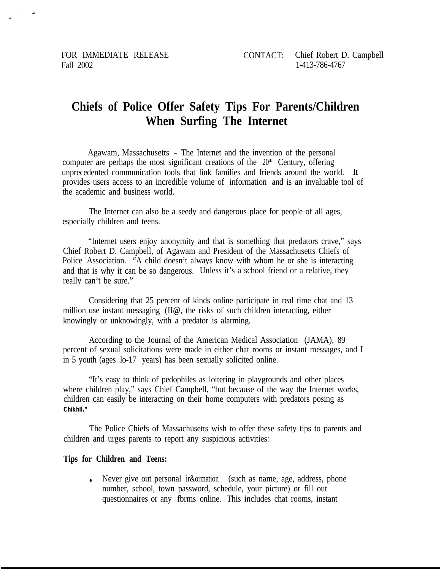Fall 2002 1-413-786-4767

## **Chiefs of Police Offer Safety Tips For Parents/Children When Surfing The Internet**

Agawam, Massachusetts - The Internet and the invention of the personal computer are perhaps the most significant creations of the 20\* Century, offering unprecedented communication tools that link families and friends around the world. It provides users access to an incredible volume of information and is an invaluable tool of the academic and business world.

The Internet can also be a seedy and dangerous place for people of all ages, especially children and teens.

"Internet users enjoy anonymity and that is something that predators crave," says Chief Robert D. Campbell, of Agawam and President of the Massachusetts Chiefs of Police Association. "A child doesn't always know with whom he or she is interacting and that is why it can be so dangerous. Unless it's a school friend or a relative, they really can't be sure."

Considering that 25 percent of kinds online participate in real time chat and 13 million use instant messaging (II@, the risks of such children interacting, either knowingly or unknowingly, with a predator is alarming.

According to the Journal of the American Medical Association (JAMA), 89 percent of sexual solicitations were made in either chat rooms or instant messages, and I in 5 youth (ages lo-17 years) has been sexually solicited online.

"It's easy to think of pedophiles as loitering in playgrounds and other places where children play," says Chief Campbell, "but because of the way the Internet works, children can easily be interacting on their home computers with predators posing as **Chikhll."**

The Police Chiefs of Massachusetts wish to offer these safety tips to parents and children and urges parents to report any suspicious activities:

## **Tips for Children and Teens:**

• Never give out personal ir&ormation (such as name, age, address, phone number, school, town password, schedule, your picture) or fill out questionnaires or any fbrms online. This includes chat rooms, instant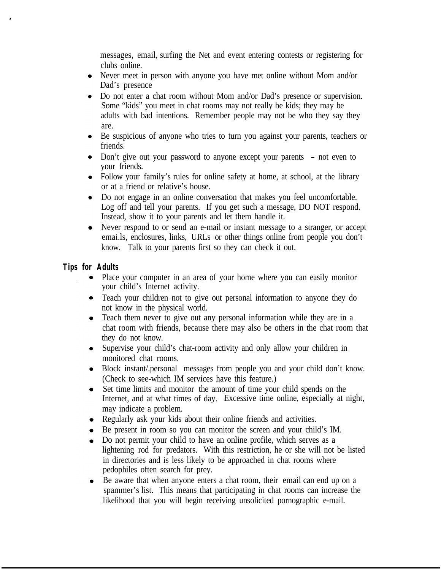messages, email, surfing the Net and event entering contests or registering for clubs online.

- Never meet in person with anyone you have met online without Mom and/or Dad's presence
- Do not enter a chat room without Mom and/or Dad's presence or supervision. Some "kids" you meet in chat rooms may not really be kids; they may be adults with bad intentions. Remember people may not be who they say they are.
- Be suspicious of anyone who tries to turn you against your parents, teachers or friends.
- Don't give out your password to anyone except your parents not even to your friends.
- Follow your family's rules for online safety at home, at school, at the library or at a friend or relative's house.
- Do not engage in an online conversation that makes you feel uncomfortable. Log off and tell your parents. If you get such a message, DO NOT respond. Instead, show it to your parents and let them handle it.
- Never respond to or send an e-mail or instant message to a stranger, or accept emai.ls, enclosures, links, URLs or other things online from people you don't know. Talk to your parents first so they can check it out.

## **Tips for Adults**

- Place your computer in an area of your home where you can easily monitor your child's Internet activity.
- Teach your children not to give out personal information to anyone they do not know in the physical world.
- Teach them never to give out any personal information while they are in a chat room with friends, because there may also be others in the chat room that they do not know.
- Supervise your child's chat-room activity and only allow your children in monitored chat rooms.
- Block instant/.personal messages from people you and your child don't know. (Check to see-which IM services have this feature.)
- Set time limits and monitor the amount of time your child spends on the Internet, and at what times of day. Excessive time online, especially at night, may indicate a problem.
- Regularly ask your kids about their online friends and activities.
- Be present in room so you can monitor the screen and your child's IM.
- Do not permit your child to have an online profile, which serves as a lightening rod for predators. With this restriction, he or she will not be listed in directories and is less likely to be approached in chat rooms where pedophiles often search for prey.
- $\bullet$ Be aware that when anyone enters a chat room, their email can end up on a spammer's list. This means that participating in chat rooms can increase the likelihood that you will begin receiving unsolicited pornographic e-mail.